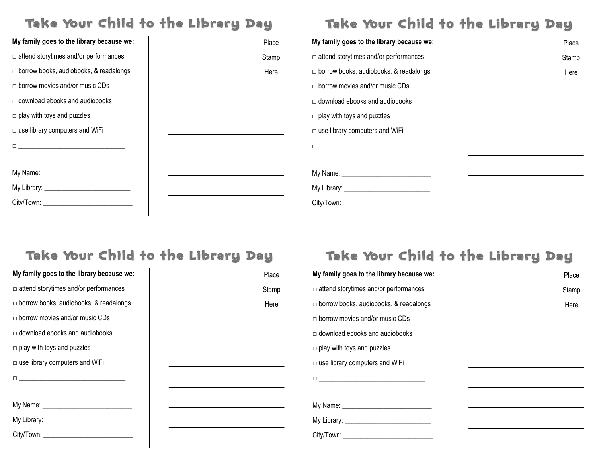### Take Your Child to the Library Day Take Your Child to the Library Day

| My family goes to the library because we:     | Place | My                   |
|-----------------------------------------------|-------|----------------------|
| $\Box$ attend storytimes and/or performances  | Stamp | $\square$ $\epsilon$ |
| $\Box$ borrow books, audiobooks, & readalongs | Here  | $\Box$ $\mathsf{t}$  |
| $\Box$ borrow movies and/or music CDs         |       | $\Box$               |
| $\Box$ download ebooks and audiobooks         |       | $\Box$ C             |
| $\Box$ play with toys and puzzles             |       | $\square$            |
| $\Box$ use library computers and WiFi         |       | $\Box$               |
| 0 <u>___________________________</u>          |       | $\square$            |
|                                               |       |                      |
|                                               |       | My                   |
|                                               |       | My                   |
|                                               |       | Cit                  |
|                                               |       |                      |

| My family goes to the library because we:            | Place |
|------------------------------------------------------|-------|
| $\Box$ attend storytimes and/or performances         | Stamp |
| $\Box$ borrow books, audiobooks, & readalongs        | Here  |
| $\Box$ borrow movies and/or music CDs                |       |
| $\Box$ download ebooks and audiobooks                |       |
| $\Box$ play with toys and puzzles                    |       |
| $\Box$ use library computers and WiFi                |       |
| <u> 2008 - Jan Barnett, fransk politik (d. 1888)</u> |       |
|                                                      |       |
|                                                      |       |
| My Library: ________________________________         |       |
| City/Town: ________________________________          |       |
|                                                      |       |

### Take Your Child to the Library Day Take Your Child to the Library Day

| My family goes to the library because we:                                                                            | Place |
|----------------------------------------------------------------------------------------------------------------------|-------|
| $\Box$ attend storytimes and/or performances                                                                         | Stamp |
| $\Box$ borrow books, audiobooks, & readalongs                                                                        | Here  |
| $\Box$ borrow movies and/or music CDs                                                                                |       |
| $\Box$ download ebooks and audiobooks                                                                                |       |
| $\Box$ play with toys and puzzles                                                                                    |       |
| $\Box$ use library computers and WiFi                                                                                |       |
| <u> 1989 - Johann Barn, mars ann an t-Amhain Aonaich an t-Aonaich an t-Aonaich ann an t-Aonaich ann an t-Aonaich</u> |       |
|                                                                                                                      |       |
|                                                                                                                      |       |
|                                                                                                                      |       |
|                                                                                                                      |       |
|                                                                                                                      |       |

Place Stamp Here

| My family goes to the library because we:                                                                                                                                                                                            |  |
|--------------------------------------------------------------------------------------------------------------------------------------------------------------------------------------------------------------------------------------|--|
| $\Box$ attend storytimes and/or performances                                                                                                                                                                                         |  |
| $\Box$ borrow books, audiobooks, & readalongs                                                                                                                                                                                        |  |
| $\sqcap$ borrow movies and/or music CDs                                                                                                                                                                                              |  |
| $\sqcap$ download ebooks and audiobooks                                                                                                                                                                                              |  |
| $\Box$ play with toys and puzzles                                                                                                                                                                                                    |  |
| $\Box$ use library computers and WiFi                                                                                                                                                                                                |  |
| <u> 1989 - Johann Stoff, fransk kongressor og f</u>                                                                                                                                                                                  |  |
|                                                                                                                                                                                                                                      |  |
|                                                                                                                                                                                                                                      |  |
| My Library: _____________________________                                                                                                                                                                                            |  |
| City/Town: <b>Communist Communist Communist Communist Communist Communist Communist Communist Communist Communist Communist Communist Communist Communist Communist Communist Communist Communist Communist Communist Communist </b> |  |